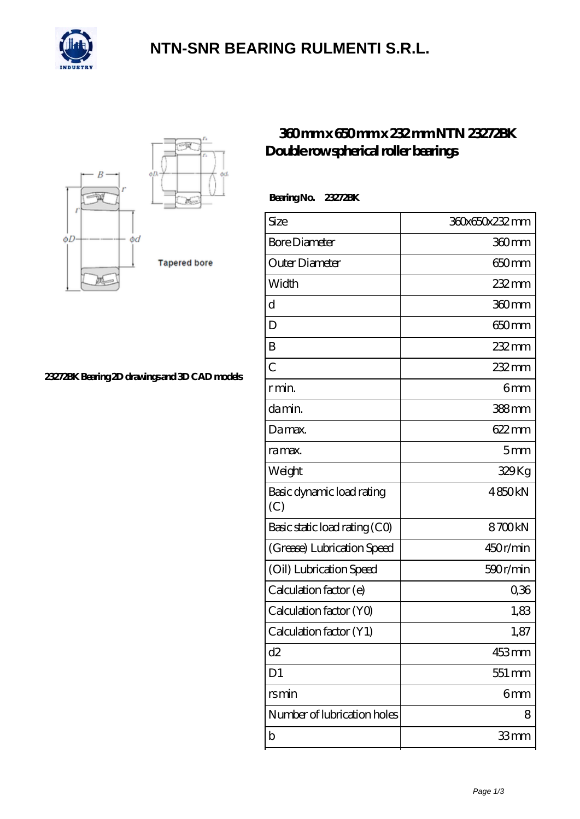

### **[NTN-SNR BEARING RULMENTI S.R.L.](https://m.confidencemenimprov.com)**



#### **[23272BK Bearing 2D drawings and 3D CAD models](https://m.confidencemenimprov.com/pic-64974331.html)**

### **[360 mm x 650 mm x 232 mm NTN 23272BK](https://m.confidencemenimprov.com/am-64974331-ntn-23272bk-double-row-spherical-roller-bearings.html) [Double row spherical roller bearings](https://m.confidencemenimprov.com/am-64974331-ntn-23272bk-double-row-spherical-roller-bearings.html)**

 **Bearing No. 23272BK**

| Size                             | 360x650x232mm   |
|----------------------------------|-----------------|
| <b>Bore Diameter</b>             | 360mm           |
| Outer Diameter                   | 650mm           |
| Width                            | 232 mm          |
| d                                | 360mm           |
| D                                | 650mm           |
| B                                | 232 mm          |
| $\overline{C}$                   | 232 mm          |
| r min.                           | 6mm             |
| da min.                          | 388mm           |
| Damax.                           | $622 \text{mm}$ |
| ra max.                          | 5 <sub>mm</sub> |
| Weight                           | 329Kg           |
| Basic dynamic load rating<br>(C) | 4850kN          |
| Basic static load rating (CO)    | 8700kN          |
| (Grease) Lubrication Speed       | 450r/min        |
| (Oil) Lubrication Speed          | 590r/min        |
| Calculation factor (e)           | 0,36            |
| Calculation factor (YO)          | 1,83            |
| Calculation factor (Y1)          | 1,87            |
| d2                               | 453mm           |
| D <sub>1</sub>                   | 551 mm          |
| rsmin                            | 6mm             |
| Number of lubrication holes      | 8               |
| b                                | 33mm            |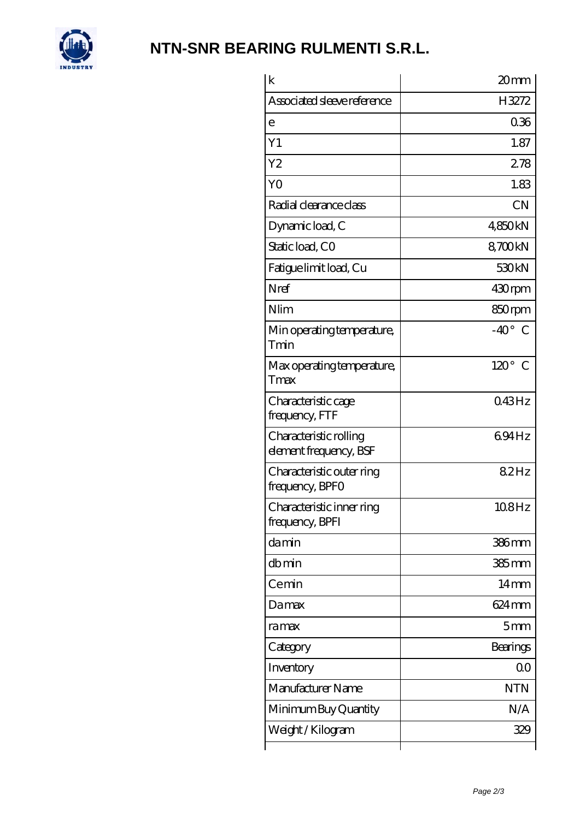

# **[NTN-SNR BEARING RULMENTI S.R.L.](https://m.confidencemenimprov.com)**

| $\mathbf k$                                      | 20mm              |
|--------------------------------------------------|-------------------|
| Associated sleeve reference                      | H3272             |
| e                                                | 0.36              |
| Y1                                               | 1.87              |
| Y <sub>2</sub>                                   | 278               |
| Y <sub>O</sub>                                   | 1.83              |
| Radial clearance class                           | <b>CN</b>         |
| Dynamic load, C                                  | 4,850kN           |
| Static load, CO                                  | 8700kN            |
| Fatigue limit load, Cu                           | 530 <sub>kN</sub> |
| Nref                                             | 430rpm            |
| Nlim                                             | 850rpm            |
| Min operating temperature,<br>Tmin               | $-40^\circ$ C     |
| Max operating temperature,<br>Tmax               | $120^\circ$ C     |
| Characteristic cage<br>frequency, FTF            | 043Hz             |
| Characteristic rolling<br>element frequency, BSF | 694Hz             |
| Characteristic outer ring<br>frequency, BPFO     | 82Hz              |
| Characteristic inner ring<br>frequency, BPFI     | 108Hz             |
| damin                                            | 386mm             |
| dbmin                                            | $385$ mm          |
| Cemin                                            | 14mm              |
| Damax                                            | 624 mm            |
| ra max                                           | 5mm               |
| Category                                         | Bearings          |
| Inventory                                        | 0 <sup>0</sup>    |
| Manufacturer Name                                | <b>NTN</b>        |
| Minimum Buy Quantity                             | N/A               |
| Weight / Kilogram                                | 329               |
|                                                  |                   |